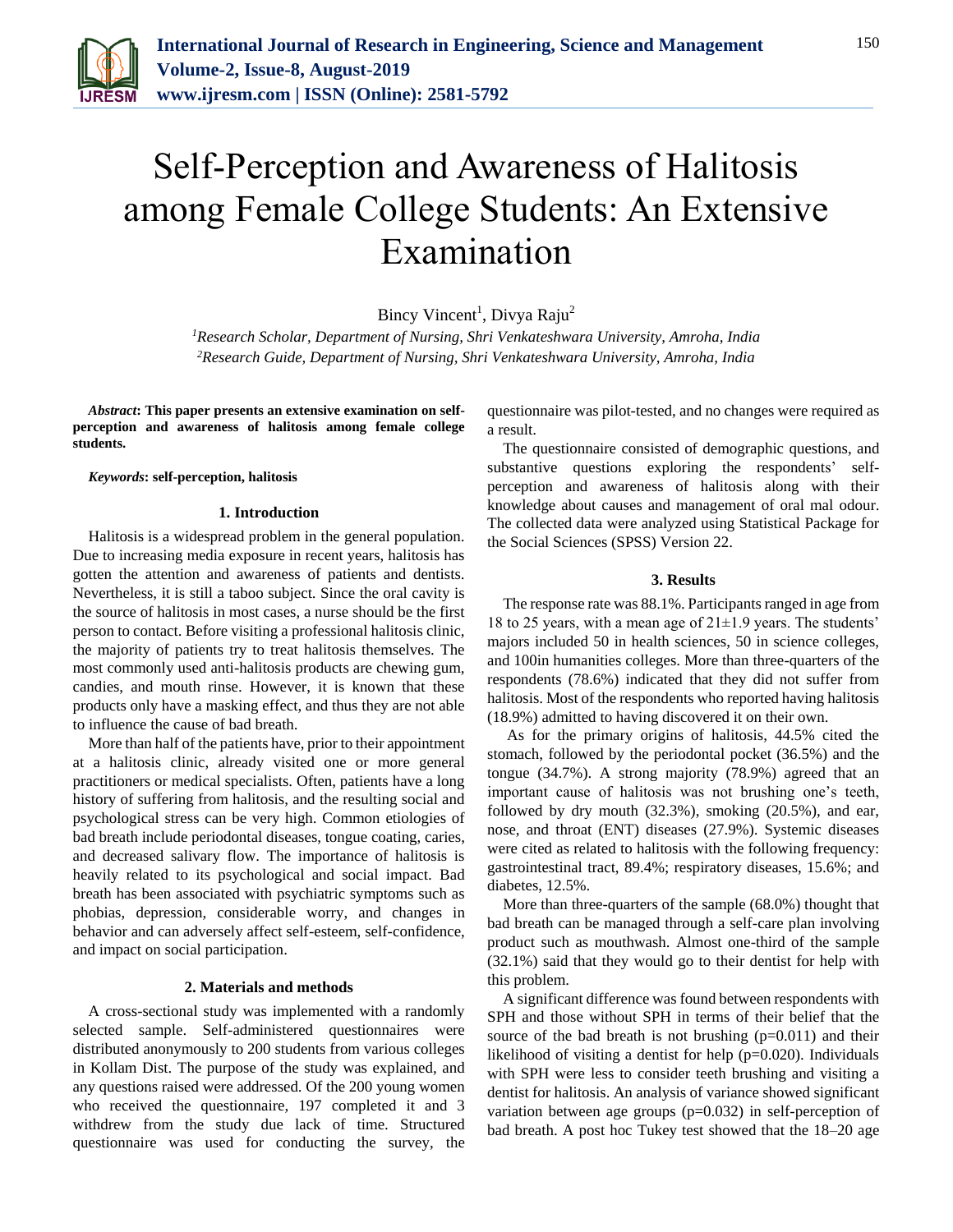

# Self-Perception and Awareness of Halitosis among Female College Students: An Extensive Examination

Bincy Vincent<sup>1</sup>, Divya Raju<sup>2</sup>

*<sup>1</sup>Research Scholar, Department of Nursing, Shri Venkateshwara University, Amroha, India 2Research Guide, Department of Nursing, Shri Venkateshwara University, Amroha, India*

*Abstract***: This paper presents an extensive examination on selfperception and awareness of halitosis among female college students.**

*Keywords***: self-perception, halitosis**

## **1. Introduction**

Halitosis is a widespread problem in the general population. Due to increasing media exposure in recent years, halitosis has gotten the attention and awareness of patients and dentists. Nevertheless, it is still a taboo subject. Since the oral cavity is the source of halitosis in most cases, a nurse should be the first person to contact. Before visiting a professional halitosis clinic, the majority of patients try to treat halitosis themselves. The most commonly used anti-halitosis products are chewing gum, candies, and mouth rinse. However, it is known that these products only have a masking effect, and thus they are not able to influence the cause of bad breath.

More than half of the patients have, prior to their appointment at a halitosis clinic, already visited one or more general practitioners or medical specialists. Often, patients have a long history of suffering from halitosis, and the resulting social and psychological stress can be very high. Common etiologies of bad breath include periodontal diseases, tongue coating, caries, and decreased salivary flow. The importance of halitosis is heavily related to its psychological and social impact. Bad breath has been associated with psychiatric symptoms such as phobias, depression, considerable worry, and changes in behavior and can adversely affect self-esteem, self-confidence, and impact on social participation.

#### **2. Materials and methods**

A cross-sectional study was implemented with a randomly selected sample. Self-administered questionnaires were distributed anonymously to 200 students from various colleges in Kollam Dist. The purpose of the study was explained, and any questions raised were addressed. Of the 200 young women who received the questionnaire, 197 completed it and 3 withdrew from the study due lack of time. Structured questionnaire was used for conducting the survey, the

questionnaire was pilot-tested, and no changes were required as a result.

The questionnaire consisted of demographic questions, and substantive questions exploring the respondents' selfperception and awareness of halitosis along with their knowledge about causes and management of oral mal odour. The collected data were analyzed using Statistical Package for the Social Sciences (SPSS) Version 22.

## **3. Results**

The response rate was 88.1%. Participants ranged in age from 18 to 25 years, with a mean age of  $21\pm1.9$  years. The students' majors included 50 in health sciences, 50 in science colleges, and 100in humanities colleges. More than three-quarters of the respondents (78.6%) indicated that they did not suffer from halitosis. Most of the respondents who reported having halitosis (18.9%) admitted to having discovered it on their own.

As for the primary origins of halitosis, 44.5% cited the stomach, followed by the periodontal pocket (36.5%) and the tongue (34.7%). A strong majority (78.9%) agreed that an important cause of halitosis was not brushing one's teeth, followed by dry mouth (32.3%), smoking (20.5%), and ear, nose, and throat (ENT) diseases (27.9%). Systemic diseases were cited as related to halitosis with the following frequency: gastrointestinal tract, 89.4%; respiratory diseases, 15.6%; and diabetes, 12.5%.

More than three-quarters of the sample (68.0%) thought that bad breath can be managed through a self-care plan involving product such as mouthwash. Almost one-third of the sample (32.1%) said that they would go to their dentist for help with this problem.

A significant difference was found between respondents with SPH and those without SPH in terms of their belief that the source of the bad breath is not brushing  $(p=0.011)$  and their likelihood of visiting a dentist for help (p=0.020). Individuals with SPH were less to consider teeth brushing and visiting a dentist for halitosis. An analysis of variance showed significant variation between age groups (p=0.032) in self-perception of bad breath. A post hoc Tukey test showed that the 18–20 age